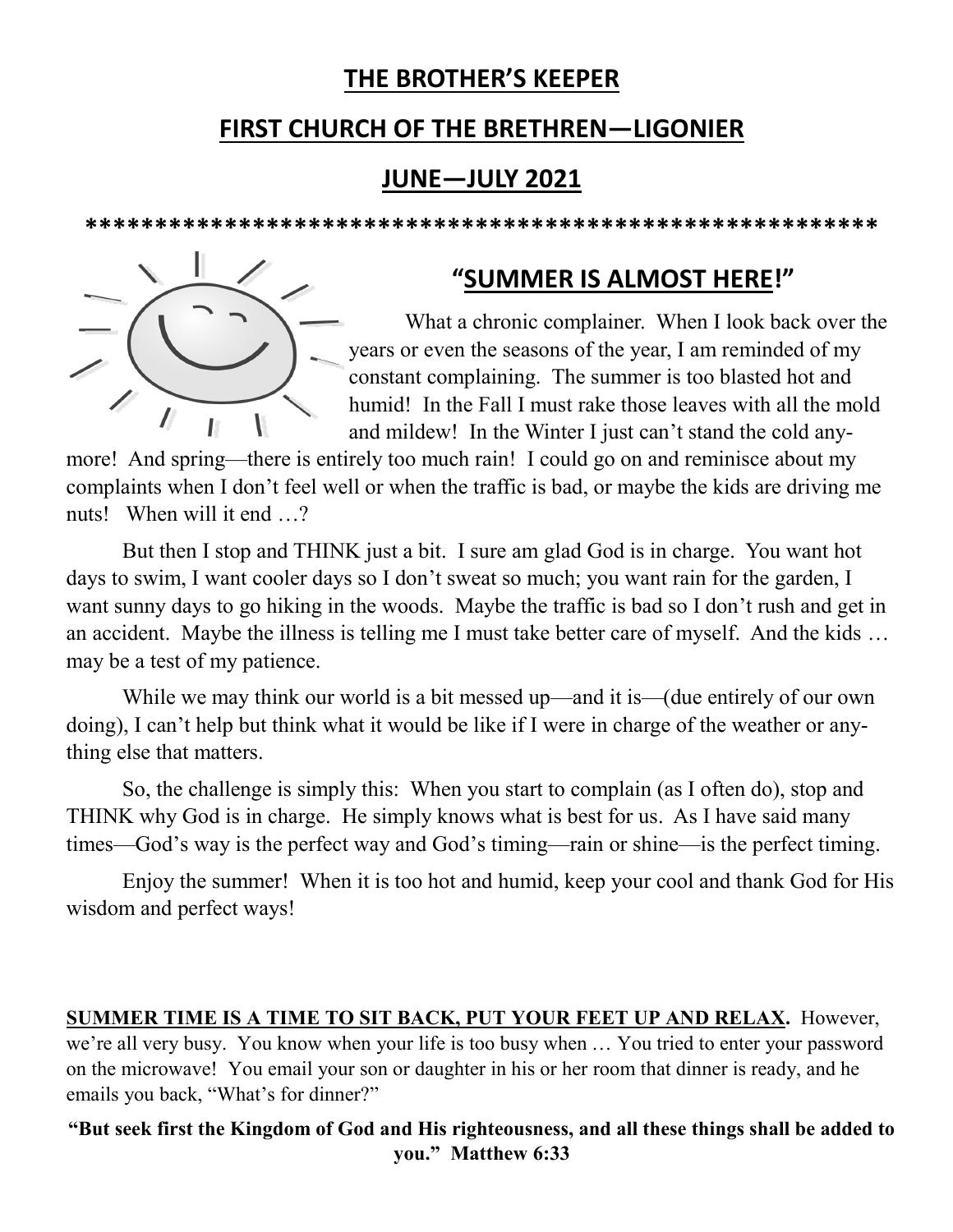## **THE BROTHER'S KEEPER**

### **FIRST CHURCH OF THE BRETHREN—LIGONIER**

### **JUNE—JULY 2021**

**\*\*\*\*\*\*\*\*\*\*\*\*\*\*\*\*\*\*\*\*\*\*\*\*\*\*\*\*\*\*\*\*\*\*\*\*\*\*\*\*\*\*\*\*\*\*\*\*\*\*\*\*\*\*\*\*\***



# **"SUMMER IS ALMOST HERE!"**

What a chronic complainer. When I look back over the years or even the seasons of the year, I am reminded of my constant complaining. The summer is too blasted hot and humid! In the Fall I must rake those leaves with all the mold and mildew! In the Winter I just can't stand the cold any-

more! And spring—there is entirely too much rain! I could go on and reminisce about my complaints when I don't feel well or when the traffic is bad, or maybe the kids are driving me nuts! When will it end ...?

But then I stop and THINK just a bit. I sure am glad God is in charge. You want hot days to swim, I want cooler days so I don't sweat so much; you want rain for the garden, I want sunny days to go hiking in the woods. Maybe the traffic is bad so I don't rush and get in an accident. Maybe the illness is telling me I must take better care of myself. And the kids … may be a test of my patience.

While we may think our world is a bit messed up—and it is—(due entirely of our own doing), I can't help but think what it would be like if I were in charge of the weather or anything else that matters.

So, the challenge is simply this: When you start to complain (as I often do), stop and THINK why God is in charge. He simply knows what is best for us. As I have said many times—God's way is the perfect way and God's timing—rain or shine—is the perfect timing.

Enjoy the summer! When it is too hot and humid, keep your cool and thank God for His wisdom and perfect ways!

**SUMMER TIME IS A TIME TO SIT BACK, PUT YOUR FEET UP AND RELAX.** However, we're all very busy. You know when your life is too busy when … You tried to enter your password on the microwave! You email your son or daughter in his or her room that dinner is ready, and he emails you back, "What's for dinner?"

**"But seek first the Kingdom of God and His righteousness, and all these things shall be added to you." Matthew 6:33**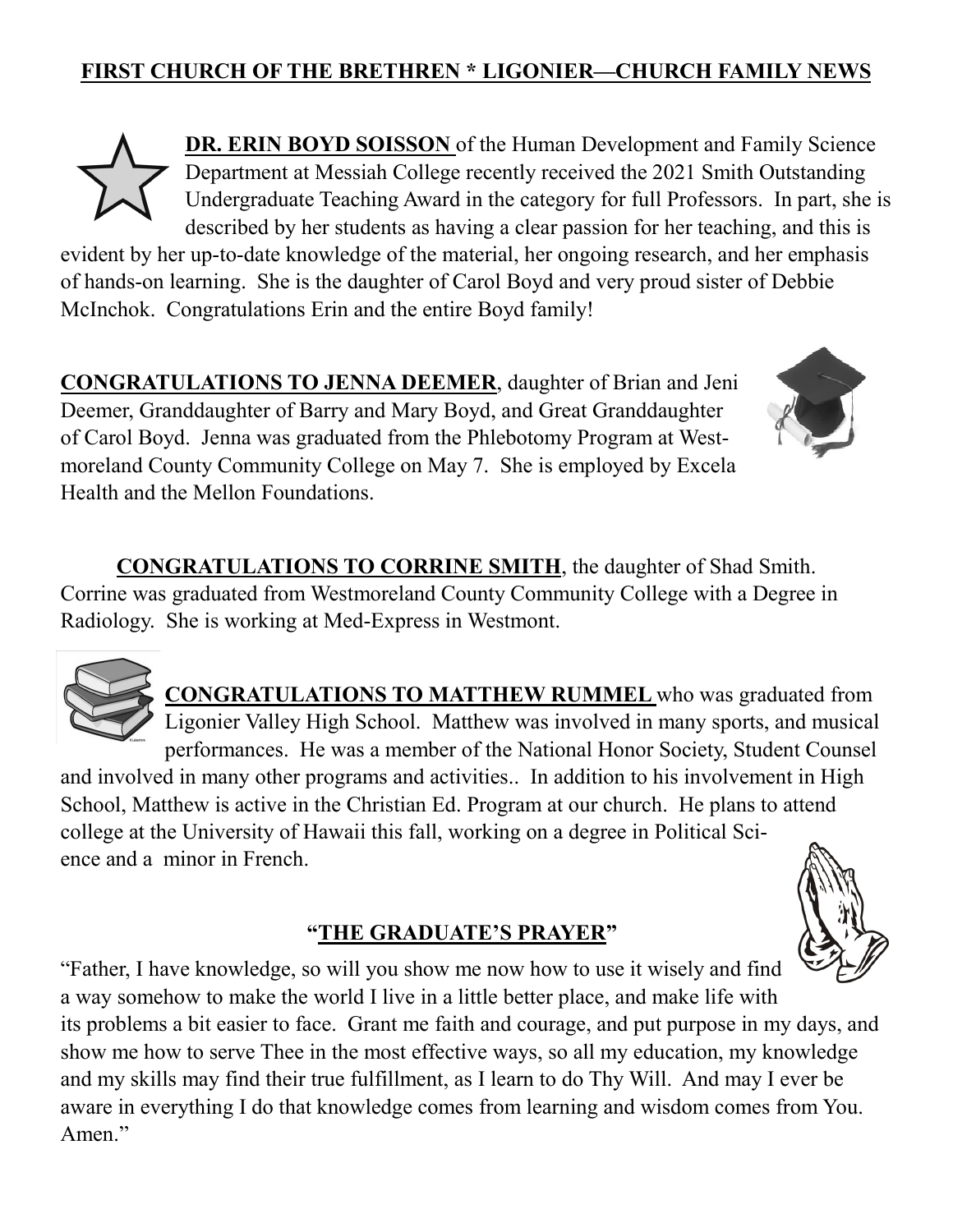# **FIRST CHURCH OF THE BRETHREN \* LIGONIER—CHURCH FAMILY NEWS**



**DR. ERIN BOYD SOISSON** of the Human Development and Family Science Department at Messiah College recently received the 2021 Smith Outstanding Undergraduate Teaching Award in the category for full Professors. In part, she is described by her students as having a clear passion for her teaching, and this is

evident by her up-to-date knowledge of the material, her ongoing research, and her emphasis of hands-on learning. She is the daughter of Carol Boyd and very proud sister of Debbie McInchok. Congratulations Erin and the entire Boyd family!

**CONGRATULATIONS TO JENNA DEEMER**, daughter of Brian and Jeni Deemer, Granddaughter of Barry and Mary Boyd, and Great Granddaughter of Carol Boyd. Jenna was graduated from the Phlebotomy Program at Westmoreland County Community College on May 7. She is employed by Excela Health and the Mellon Foundations.



**CONGRATULATIONS TO CORRINE SMITH**, the daughter of Shad Smith. Corrine was graduated from Westmoreland County Community College with a Degree in Radiology. She is working at Med-Express in Westmont.



**CONGRATULATIONS TO MATTHEW RUMMEL** who was graduated from Ligonier Valley High School. Matthew was involved in many sports, and musical performances. He was a member of the National Honor Society, Student Counsel and involved in many other programs and activities.. In addition to his involvement in High School, Matthew is active in the Christian Ed. Program at our church. He plans to attend college at the University of Hawaii this fall, working on a degree in Political Science and a minor in French.

#### **"THE GRADUATE'S PRAYER"**



"Father, I have knowledge, so will you show me now how to use it wisely and find a way somehow to make the world I live in a little better place, and make life with

its problems a bit easier to face. Grant me faith and courage, and put purpose in my days, and show me how to serve Thee in the most effective ways, so all my education, my knowledge and my skills may find their true fulfillment, as I learn to do Thy Will. And may I ever be aware in everything I do that knowledge comes from learning and wisdom comes from You. Amen."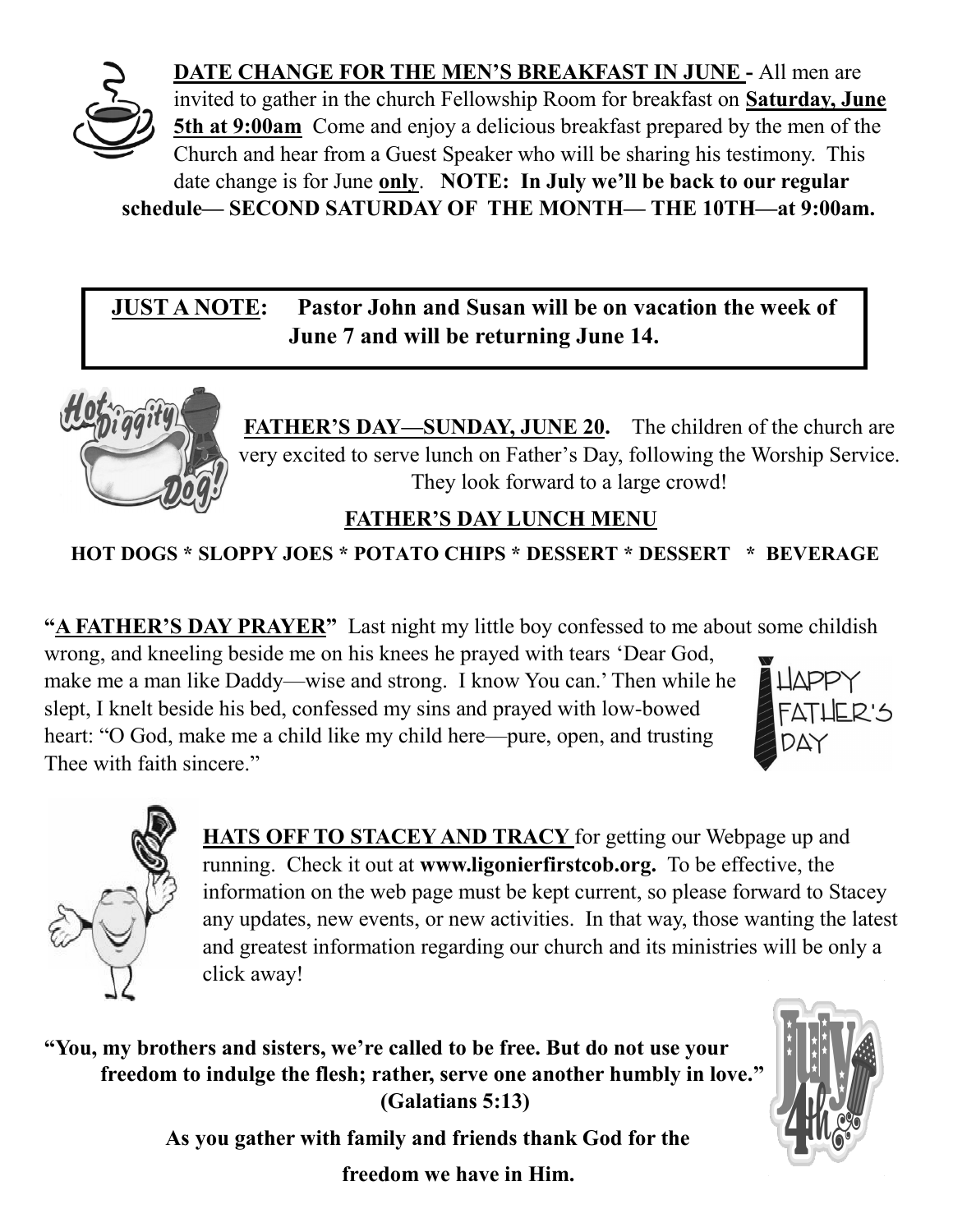

**DATE CHANGE FOR THE MEN'S BREAKFAST IN JUNE -** All men are invited to gather in the church Fellowship Room for breakfast on **Saturday, June 5th at 9:00am** Come and enjoy a delicious breakfast prepared by the men of the Church and hear from a Guest Speaker who will be sharing his testimony. This date change is for June **only**. **NOTE: In July we'll be back to our regular schedule— SECOND SATURDAY OF THE MONTH— THE 10TH—at 9:00am.** 

## **JUST A NOTE: Pastor John and Susan will be on vacation the week of June 7 and will be returning June 14.**



**FATHER'S DAY—SUNDAY, JUNE 20.** The children of the church are very excited to serve lunch on Father's Day, following the Worship Service. They look forward to a large crowd!

# **FATHER'S DAY LUNCH MENU**

**HOT DOGS \* SLOPPY JOES \* POTATO CHIPS \* DESSERT \* DESSERT \* BEVERAGE**

**"A FATHER'S DAY PRAYER"** Last night my little boy confessed to me about some childish

wrong, and kneeling beside me on his knees he prayed with tears 'Dear God, make me a man like Daddy—wise and strong. I know You can.' Then while he slept, I knelt beside his bed, confessed my sins and prayed with low-bowed heart: "O God, make me a child like my child here—pure, open, and trusting Thee with faith sincere."





**HATS OFF TO STACEY AND TRACY** for getting our Webpage up and running. Check it out at **www.ligonierfirstcob.org.** To be effective, the information on the web page must be kept current, so please forward to Stacey any updates, new events, or new activities. In that way, those wanting the latest and greatest information regarding our church and its ministries will be only a click away!

**"You, my brothers and sisters, we're called to be free. But do not use your freedom to indulge the flesh; rather, serve one another humbly in love." (Galatians 5:13)** 

> **As you gather with family and friends thank God for the freedom we have in Him.**

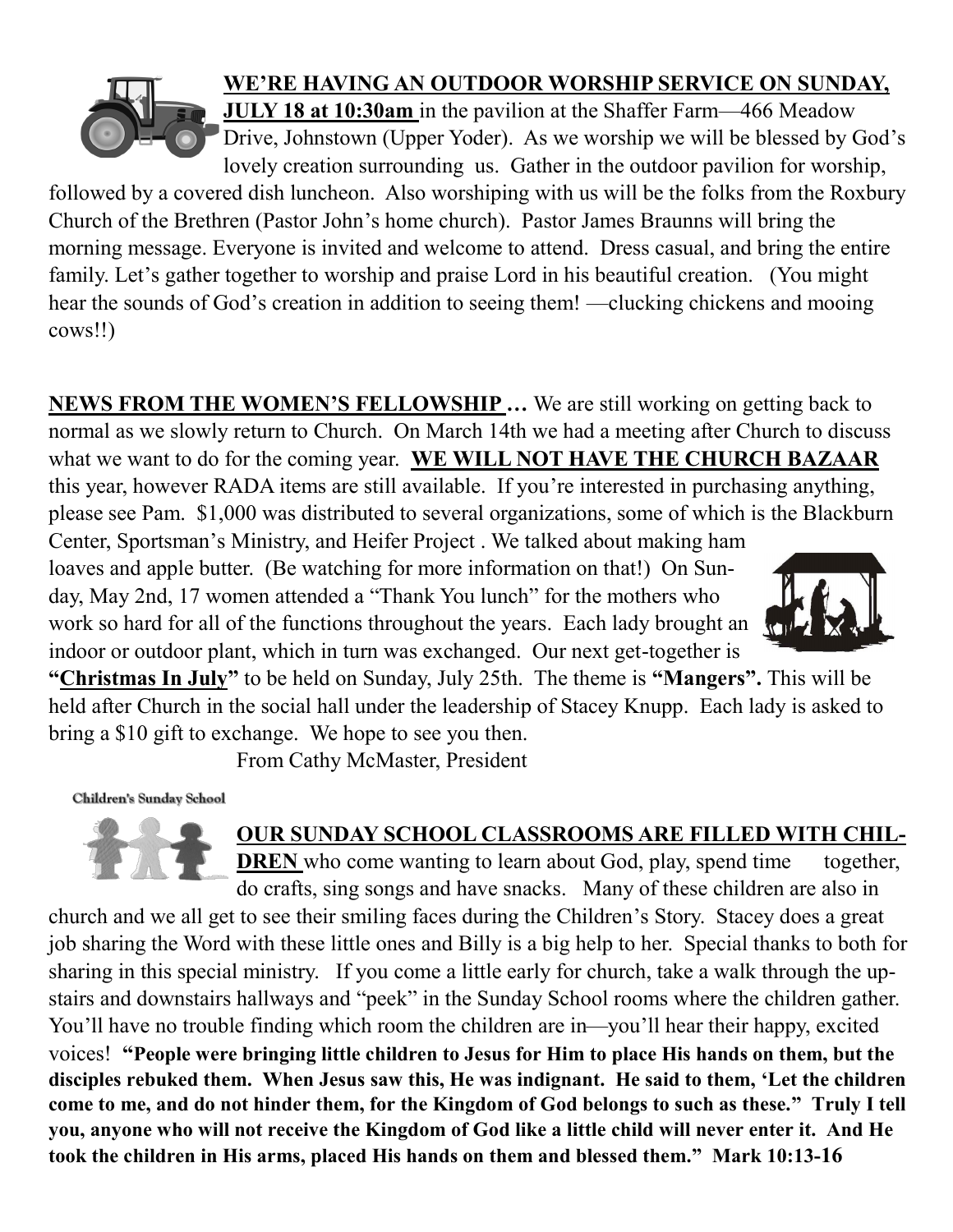

followed by a covered dish luncheon. Also worshiping with us will be the folks from the Roxbury Church of the Brethren (Pastor John's home church). Pastor James Braunns will bring the morning message. Everyone is invited and welcome to attend. Dress casual, and bring the entire family. Let's gather together to worship and praise Lord in his beautiful creation. (You might hear the sounds of God's creation in addition to seeing them! —clucking chickens and mooing cows!!)

**NEWS FROM THE WOMEN'S FELLOWSHIP …** We are still working on getting back to normal as we slowly return to Church. On March 14th we had a meeting after Church to discuss what we want to do for the coming year. **WE WILL NOT HAVE THE CHURCH BAZAAR**  this year, however RADA items are still available. If you're interested in purchasing anything,

please see Pam. \$1,000 was distributed to several organizations, some of which is the Blackburn Center, Sportsman's Ministry, and Heifer Project . We talked about making ham loaves and apple butter. (Be watching for more information on that!) On Sunday, May 2nd, 17 women attended a "Thank You lunch" for the mothers who work so hard for all of the functions throughout the years. Each lady brought an indoor or outdoor plant, which in turn was exchanged. Our next get-together is



**"Christmas In July"** to be held on Sunday, July 25th. The theme is **"Mangers".** This will be held after Church in the social hall under the leadership of Stacey Knupp. Each lady is asked to bring a \$10 gift to exchange. We hope to see you then.

From Cathy McMaster, President

**Children's Sunday School** 



**OUR SUNDAY SCHOOL CLASSROOMS ARE FILLED WITH CHIL-**

**DREN** who come wanting to learn about God, play, spend time together, do crafts, sing songs and have snacks. Many of these children are also in

church and we all get to see their smiling faces during the Children's Story. Stacey does a great job sharing the Word with these little ones and Billy is a big help to her. Special thanks to both for sharing in this special ministry. If you come a little early for church, take a walk through the upstairs and downstairs hallways and "peek" in the Sunday School rooms where the children gather. You'll have no trouble finding which room the children are in—you'll hear their happy, excited voices! **"People were bringing little children to Jesus for Him to place His hands on them, but the disciples rebuked them. When Jesus saw this, He was indignant. He said to them, 'Let the children come to me, and do not hinder them, for the Kingdom of God belongs to such as these." Truly I tell you, anyone who will not receive the Kingdom of God like a little child will never enter it. And He took the children in His arms, placed His hands on them and blessed them." Mark 10:13-16**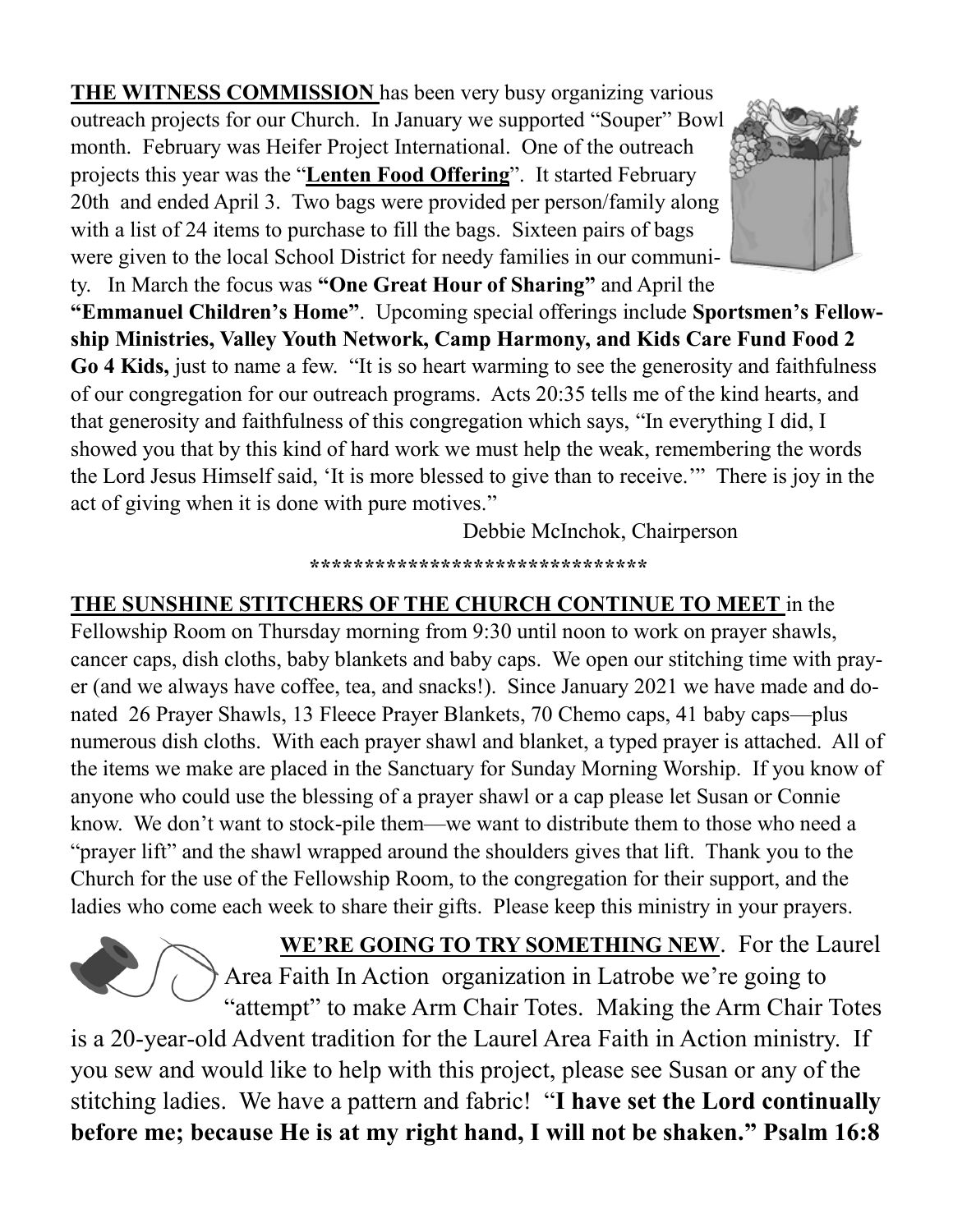**THE WITNESS COMMISSION** has been very busy organizing various outreach projects for our Church. In January we supported "Souper" Bowl month. February was Heifer Project International. One of the outreach projects this year was the "**Lenten Food Offering**". It started February 20th and ended April 3. Two bags were provided per person/family along with a list of 24 items to purchase to fill the bags. Sixteen pairs of bags were given to the local School District for needy families in our community. In March the focus was **"One Great Hour of Sharing"** and April the



**"Emmanuel Children's Home"**. Upcoming special offerings include **Sportsmen's Fellowship Ministries, Valley Youth Network, Camp Harmony, and Kids Care Fund Food 2 Go 4 Kids,** just to name a few. "It is so heart warming to see the generosity and faithfulness of our congregation for our outreach programs. Acts 20:35 tells me of the kind hearts, and that generosity and faithfulness of this congregation which says, "In everything I did, I showed you that by this kind of hard work we must help the weak, remembering the words the Lord Jesus Himself said, 'It is more blessed to give than to receive.'" There is joy in the act of giving when it is done with pure motives."

Debbie McInchok, Chairperson

**\*\*\*\*\*\*\*\*\*\*\*\*\*\*\*\*\*\*\*\*\*\*\*\*\*\*\*\*\*\*\***

**THE SUNSHINE STITCHERS OF THE CHURCH CONTINUE TO MEET** in the Fellowship Room on Thursday morning from 9:30 until noon to work on prayer shawls, cancer caps, dish cloths, baby blankets and baby caps. We open our stitching time with prayer (and we always have coffee, tea, and snacks!). Since January 2021 we have made and donated 26 Prayer Shawls, 13 Fleece Prayer Blankets, 70 Chemo caps, 41 baby caps—plus numerous dish cloths. With each prayer shawl and blanket, a typed prayer is attached. All of the items we make are placed in the Sanctuary for Sunday Morning Worship. If you know of anyone who could use the blessing of a prayer shawl or a cap please let Susan or Connie know. We don't want to stock-pile them—we want to distribute them to those who need a "prayer lift" and the shawl wrapped around the shoulders gives that lift. Thank you to the Church for the use of the Fellowship Room, to the congregation for their support, and the ladies who come each week to share their gifts. Please keep this ministry in your prayers.



**WE'RE GOING TO TRY SOMETHING NEW**. For the Laurel Area Faith In Action organization in Latrobe we're going to "attempt" to make Arm Chair Totes. Making the Arm Chair Totes

is a 20-year-old Advent tradition for the Laurel Area Faith in Action ministry. If you sew and would like to help with this project, please see Susan or any of the stitching ladies. We have a pattern and fabric! "**I have set the Lord continually before me; because He is at my right hand, I will not be shaken." Psalm 16:8**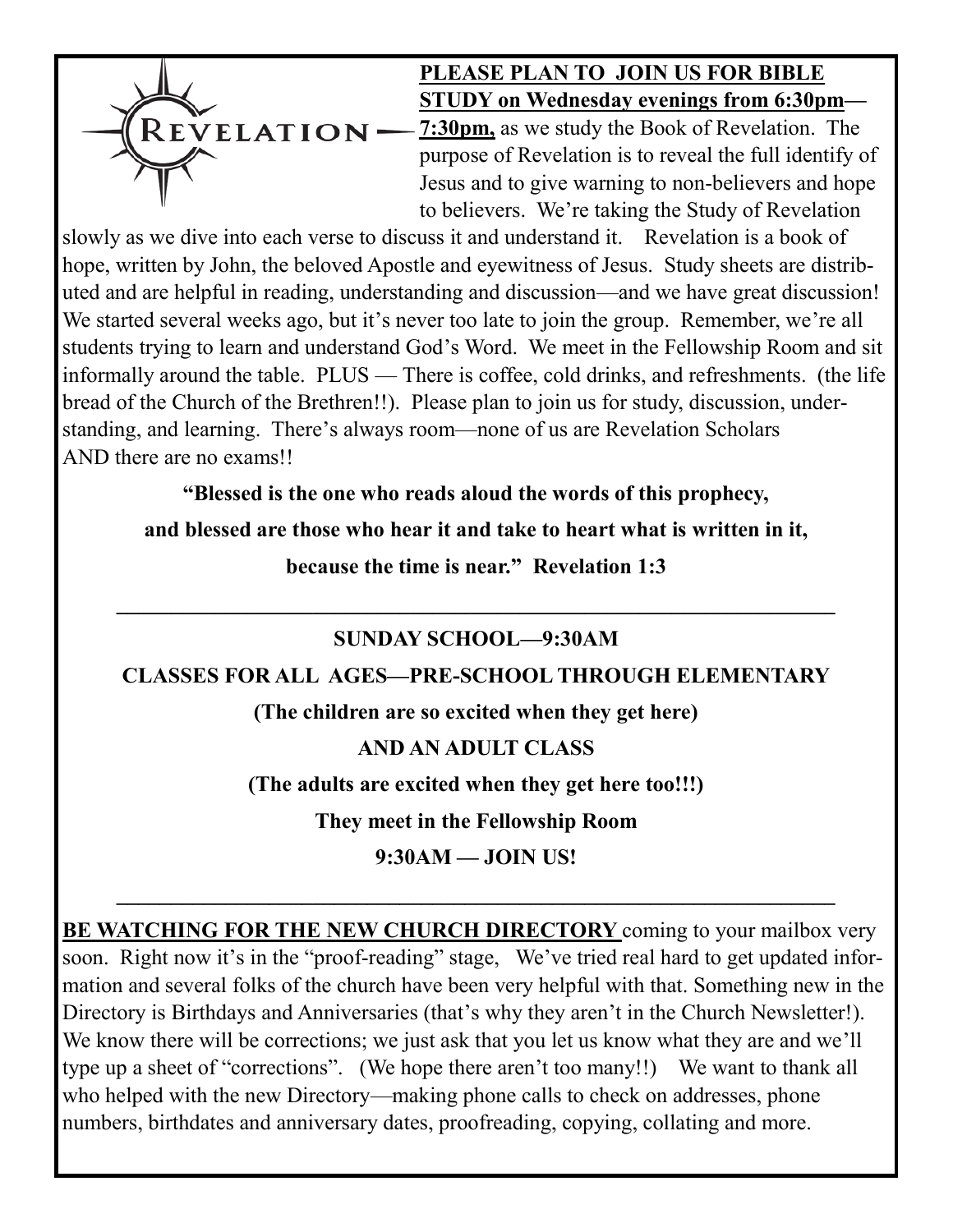

#### **PLEASE PLAN TO JOIN US FOR BIBLE STUDY on Wednesday evenings from 6:30pm—**

**REVELATION** — 7:30pm, as we study the Book of Revelation. The purpose of Revelation is to reveal the full identify of Jesus and to give warning to non-believers and hope to believers. We're taking the Study of Revelation

slowly as we dive into each verse to discuss it and understand it. Revelation is a book of hope, written by John, the beloved Apostle and eyewitness of Jesus. Study sheets are distributed and are helpful in reading, understanding and discussion—and we have great discussion! We started several weeks ago, but it's never too late to join the group. Remember, we're all students trying to learn and understand God's Word. We meet in the Fellowship Room and sit informally around the table. PLUS — There is coffee, cold drinks, and refreshments. (the life bread of the Church of the Brethren!!). Please plan to join us for study, discussion, understanding, and learning. There's always room—none of us are Revelation Scholars AND there are no exams!!

**"Blessed is the one who reads aloud the words of this prophecy,** 

**and blessed are those who hear it and take to heart what is written in it,** 

**because the time is near." Revelation 1:3**

## **SUNDAY SCHOOL—9:30AM**

#### **CLASSES FOR ALL AGES—PRE-SCHOOL THROUGH ELEMENTARY**

**(The children are so excited when they get here)** 

## **AND AN ADULT CLASS**

**(The adults are excited when they get here too!!!)**

**They meet in the Fellowship Room**

**9:30AM — JOIN US!**

**\_\_\_\_\_\_\_\_\_\_\_\_\_\_\_\_\_\_\_\_\_\_\_\_\_\_\_\_\_\_\_\_\_\_\_\_\_\_\_\_\_\_\_\_\_\_\_\_\_\_\_\_\_\_\_\_\_\_\_\_\_\_\_\_\_\_**

**BE WATCHING FOR THE NEW CHURCH DIRECTORY** coming to your mailbox very soon. Right now it's in the "proof-reading" stage, We've tried real hard to get updated information and several folks of the church have been very helpful with that. Something new in the Directory is Birthdays and Anniversaries (that's why they aren't in the Church Newsletter!). We know there will be corrections; we just ask that you let us know what they are and we'll type up a sheet of "corrections". (We hope there aren't too many!!) We want to thank all who helped with the new Directory—making phone calls to check on addresses, phone numbers, birthdates and anniversary dates, proofreading, copying, collating and more.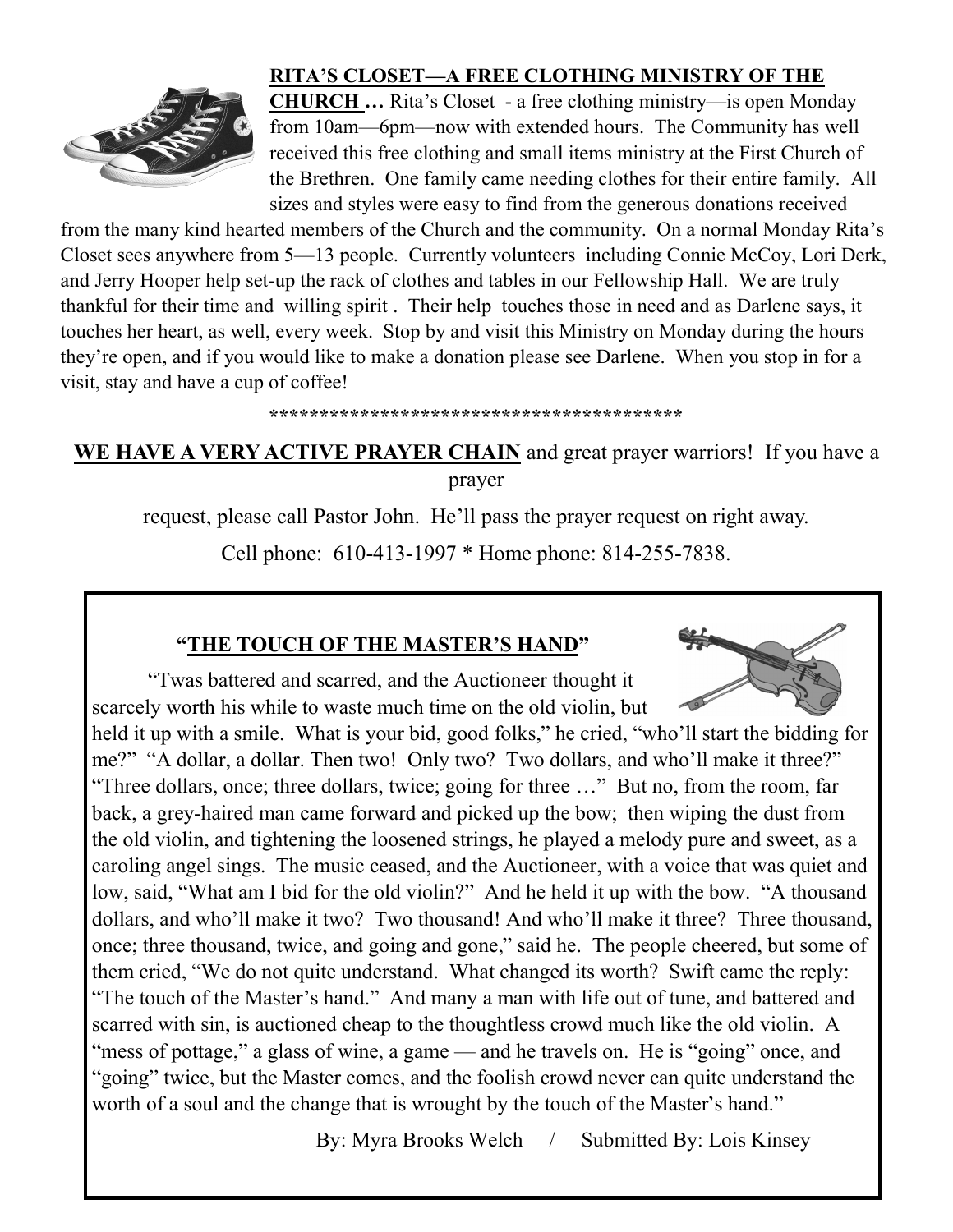

#### **RITA'S CLOSET—A FREE CLOTHING MINISTRY OF THE**

**CHURCH …** Rita's Closet - a free clothing ministry—is open Monday from 10am—6pm—now with extended hours. The Community has well received this free clothing and small items ministry at the First Church of the Brethren. One family came needing clothes for their entire family. All sizes and styles were easy to find from the generous donations received

from the many kind hearted members of the Church and the community. On a normal Monday Rita's Closet sees anywhere from 5—13 people. Currently volunteers including Connie McCoy, Lori Derk, and Jerry Hooper help set-up the rack of clothes and tables in our Fellowship Hall. We are truly thankful for their time and willing spirit . Their help touches those in need and as Darlene says, it touches her heart, as well, every week. Stop by and visit this Ministry on Monday during the hours they're open, and if you would like to make a donation please see Darlene. When you stop in for a visit, stay and have a cup of coffee!

#### **\*\*\*\*\*\*\*\*\*\*\*\*\*\*\*\*\*\*\*\*\*\*\*\*\*\*\*\*\*\*\*\*\*\*\*\*\*\*\*\*\***

**WE HAVE A VERY ACTIVE PRAYER CHAIN** and great prayer warriors! If you have a prayer

request, please call Pastor John. He'll pass the prayer request on right away.

Cell phone: 610-413-1997 \* Home phone: 814-255-7838.

#### **"THE TOUCH OF THE MASTER'S HAND"**

"Twas battered and scarred, and the Auctioneer thought it scarcely worth his while to waste much time on the old violin, but

held it up with a smile. What is your bid, good folks," he cried, "who'll start the bidding for me?" "A dollar, a dollar. Then two! Only two? Two dollars, and who'll make it three?" "Three dollars, once; three dollars, twice; going for three …" But no, from the room, far back, a grey-haired man came forward and picked up the bow; then wiping the dust from the old violin, and tightening the loosened strings, he played a melody pure and sweet, as a caroling angel sings. The music ceased, and the Auctioneer, with a voice that was quiet and low, said, "What am I bid for the old violin?" And he held it up with the bow. "A thousand dollars, and who'll make it two? Two thousand! And who'll make it three? Three thousand, once; three thousand, twice, and going and gone," said he. The people cheered, but some of them cried, "We do not quite understand. What changed its worth? Swift came the reply: "The touch of the Master's hand." And many a man with life out of tune, and battered and scarred with sin, is auctioned cheap to the thoughtless crowd much like the old violin. A "mess of pottage," a glass of wine, a game — and he travels on. He is "going" once, and "going" twice, but the Master comes, and the foolish crowd never can quite understand the worth of a soul and the change that is wrought by the touch of the Master's hand."

By: Myra Brooks Welch / Submitted By: Lois Kinsey